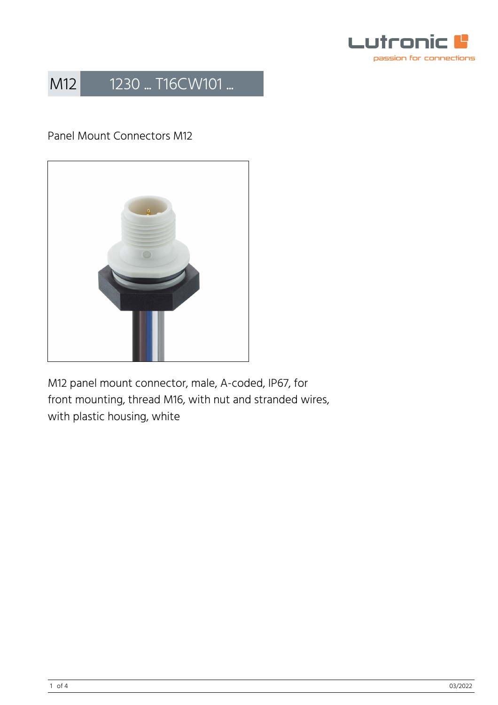

### Panel Mount Connectors M12



M12 panel mount connector, male, A-coded, IP67, for front mounting, thread M16, with nut and stranded wires, with plastic housing, white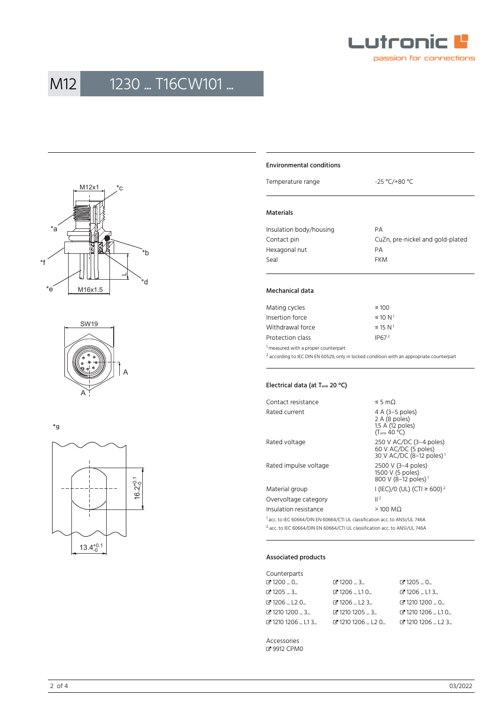





\*g



#### Environmental conditions

Temperature range  $-25 \text{ °C}$ /+80 °C

#### Materials

| Insulation body/housing | PА                               |
|-------------------------|----------------------------------|
| Contact pin             | CuZn, pre-nickel and gold-plated |
| Hexagonal nut           | PА                               |
| Seal                    | <b>FKM</b>                       |
|                         |                                  |

#### Mechanical data

| Mating cycles                                   | $\geq 100$               |
|-------------------------------------------------|--------------------------|
| Insertion force                                 | $\leq 10 N^1$            |
| Withdrawal force                                | $\leq$ 15 N <sup>1</sup> |
| Protection class                                | IP67 <sup>2</sup>        |
| <sup>1</sup> measured with a proper counterpart |                          |

 $^2$  according to IEC DIN EN 60529, only in locked condition with an appropriate counterpart

#### Electrical data (at T<sub>amb</sub> 20 °C)

| Contact resistance                                                                     | ≤ 5 mΩ                                                                                  |
|----------------------------------------------------------------------------------------|-----------------------------------------------------------------------------------------|
| Rated current                                                                          | 4 A (3–5 poles)<br>2 A (8 poles)<br>1.5 A (12 poles)<br>$(T_{amb}$ 40 °C)               |
| Rated voltage                                                                          | 250 V AC/DC (3-4 poles)<br>60 V AC/DC (5 poles)<br>30 V AC/DC (8-12 poles) <sup>1</sup> |
| Rated impulse voltage                                                                  | 2500 V (3-4 poles)<br>1500 V (5 poles)<br>800 V (8-12 poles) <sup>1</sup>               |
| Material group                                                                         | I (IEC)/0 (UL) (CTI ≥ 600) <sup>2</sup>                                                 |
| Overvoltage category                                                                   | 2                                                                                       |
| Insulation resistance                                                                  | $>100$ MQ                                                                               |
| <sup>1</sup> acc. to IEC 60664/DIN EN 60664/CTI UL classification acc. to ANSI/UL 746A |                                                                                         |

2 acc. to IEC 60664/DIN EN 60664/CTI UL classification acc. to ANSI/UL 746A

#### Associated products

| Counterparts             |                                            |                                           |
|--------------------------|--------------------------------------------|-------------------------------------------|
| ි 1200 … 0…              | $Z'$ 1200  3                               | $C$ 1205  0                               |
| ය 1205 … 3…              | $C$ 1206  L10                              | $C$ 1206  L13                             |
| <b>ි</b> 1206  L2 0      | $C$ 1206  L2 3                             | ₫ 1210 1200  0                            |
| ි 1210 1200 … 3…         | $\mathbb{Z}$ 1210 1205 $\ldots$ 3 $\ldots$ | $C$ 1210 1206  L1 0                       |
| <b>ි</b> 1210 1206  L1 3 | $C$ 1210 1206 $L$ L20 $L$                  | $\Gamma$ 1210 1206 $\ldots$ L2 3 $\ldots$ |

Accessories � [9912 CPM0](https://www.lumberg.com/en/products/product/9912 CPM0)

2 of 4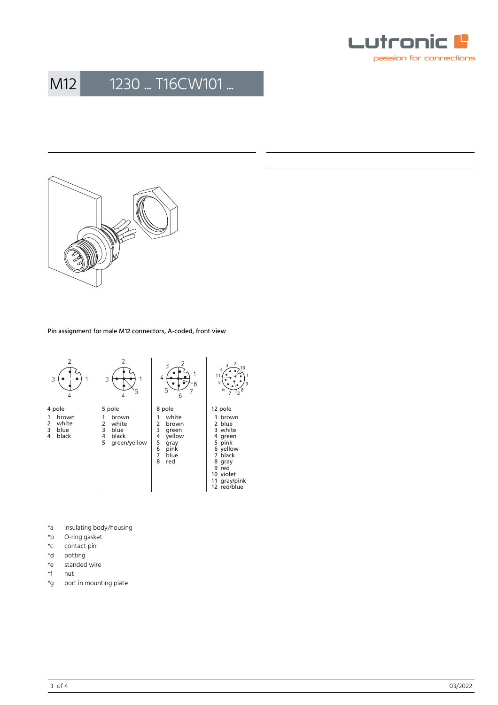



Pin assignment for male M12 connectors, A-coded, front view



- \*a insulating body/housing<br>\*b O-ring gasket
- O-ring gasket
- \*c contact pin<br>\*d potting
- \*d potting<br>\*e standed
- \*e standed wire<br>\*f nut
- \*f nut<br>\*g port
- port in mounting plate